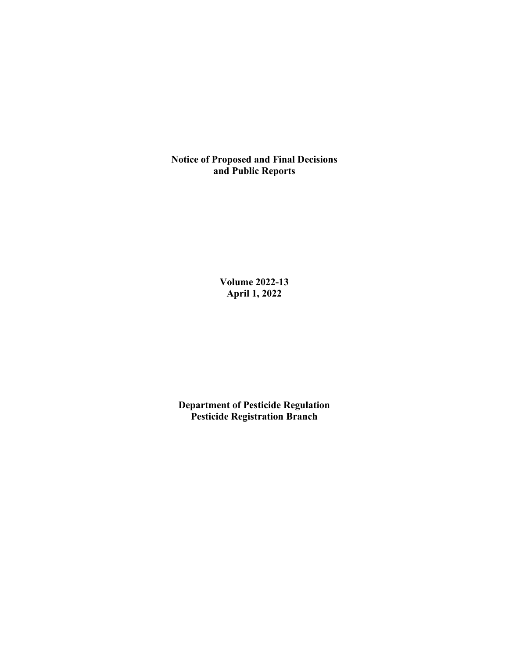**Notice of Proposed and Final Decisions and Public Reports**

> **Volume 2022-13 April 1, 2022**

**Department of Pesticide Regulation Pesticide Registration Branch**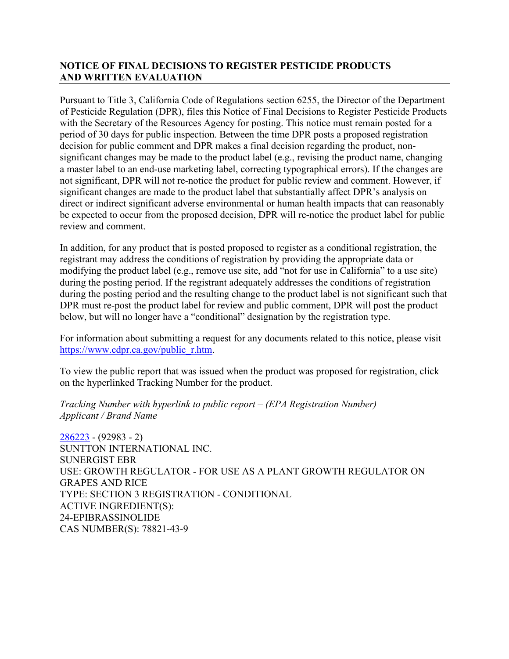# **NOTICE OF FINAL DECISIONS TO REGISTER PESTICIDE PRODUCTS AND WRITTEN EVALUATION**

Pursuant to Title 3, California Code of Regulations section 6255, the Director of the Department of Pesticide Regulation (DPR), files this Notice of Final Decisions to Register Pesticide Products with the Secretary of the Resources Agency for posting. This notice must remain posted for a period of 30 days for public inspection. Between the time DPR posts a proposed registration decision for public comment and DPR makes a final decision regarding the product, nonsignificant changes may be made to the product label (e.g., revising the product name, changing a master label to an end-use marketing label, correcting typographical errors). If the changes are not significant, DPR will not re-notice the product for public review and comment. However, if significant changes are made to the product label that substantially affect DPR's analysis on direct or indirect significant adverse environmental or human health impacts that can reasonably be expected to occur from the proposed decision, DPR will re-notice the product label for public review and comment.

In addition, for any product that is posted proposed to register as a conditional registration, the registrant may address the conditions of registration by providing the appropriate data or modifying the product label (e.g., remove use site, add "not for use in California" to a use site) during the posting period. If the registrant adequately addresses the conditions of registration during the posting period and the resulting change to the product label is not significant such that DPR must re-post the product label for review and public comment, DPR will post the product below, but will no longer have a "conditional" designation by the registration type.

For information about submitting a request for any documents related to this notice, please visit [https://www.cdpr.ca.gov/public\\_r.htm.](https://www.cdpr.ca.gov/public_r.htm)

To view the public report that was issued when the product was proposed for registration, click on the hyperlinked Tracking Number for the product.

*Tracking Number with hyperlink to public report – (EPA Registration Number) Applicant / Brand Name* 

[286223](https://www.cdpr.ca.gov/docs/registration/nod/public_reports/286223.pdf) - (92983 - 2) SUNTTON INTERNATIONAL INC. SUNERGIST EBR USE: GROWTH REGULATOR - FOR USE AS A PLANT GROWTH REGULATOR ON GRAPES AND RICE TYPE: SECTION 3 REGISTRATION - CONDITIONAL ACTIVE INGREDIENT(S): 24-EPIBRASSINOLIDE CAS NUMBER(S): 78821-43-9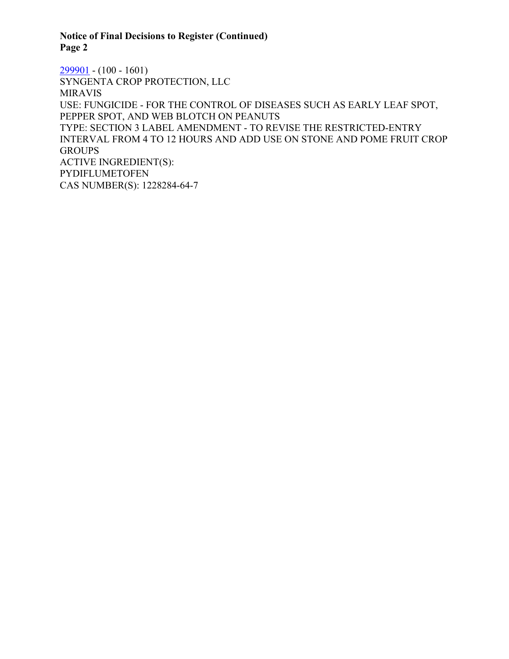## **Notice of Final Decisions to Register (Continued) Page 2**

 $299901 - (100 - 1601)$  $299901 - (100 - 1601)$ SYNGENTA CROP PROTECTION, LLC MIRAVIS USE: FUNGICIDE - FOR THE CONTROL OF DISEASES SUCH AS EARLY LEAF SPOT, PEPPER SPOT, AND WEB BLOTCH ON PEANUTS TYPE: SECTION 3 LABEL AMENDMENT - TO REVISE THE RESTRICTED-ENTRY INTERVAL FROM 4 TO 12 HOURS AND ADD USE ON STONE AND POME FRUIT CROP **GROUPS** ACTIVE INGREDIENT(S): PYDIFLUMETOFEN CAS NUMBER(S): 1228284-64-7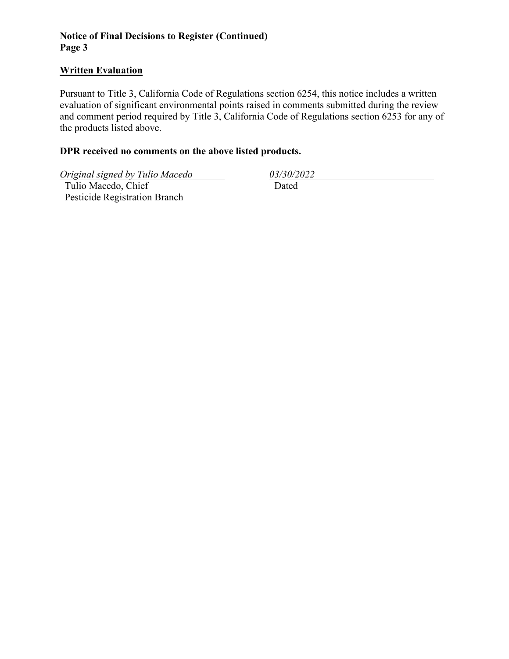# **Notice of Final Decisions to Register (Continued) Page 3**

#### **Written Evaluation**

Pursuant to Title 3, California Code of Regulations section 6254, this notice includes a written evaluation of significant environmental points raised in comments submitted during the review and comment period required by Title 3, California Code of Regulations section 6253 for any of the products listed above.

### **DPR received no comments on the above listed products.**

*Original signed by Tulio Macedo 03/30/2022* 

 Tulio Macedo, Chief Pesticide Registration Branch

Dated